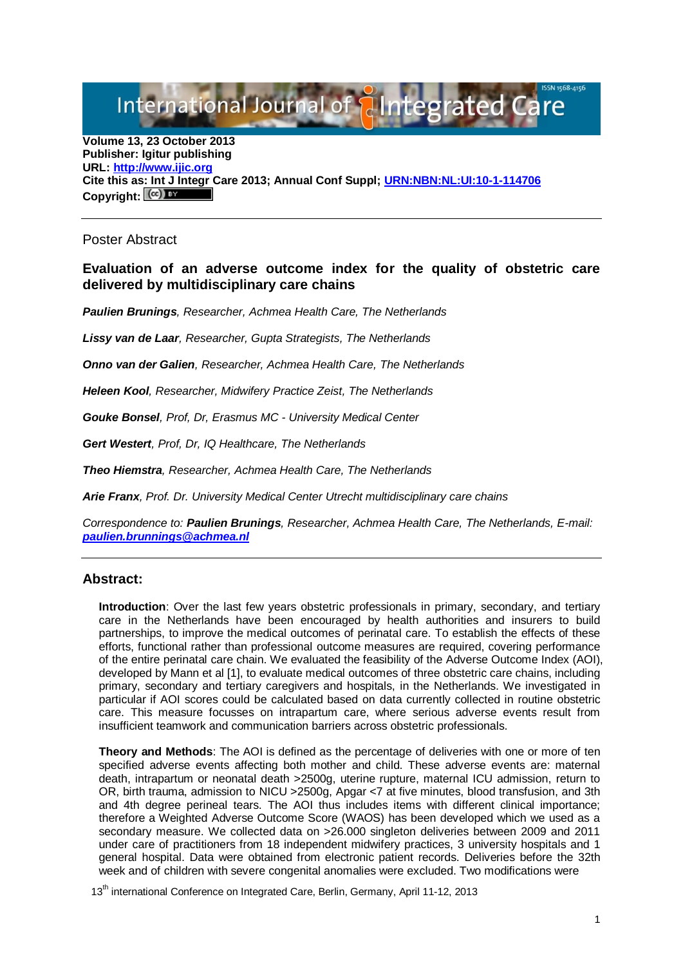International Journal of **Pilntegrated** C

**Volume 13, 23 October 2013 Publisher: Igitur publishing URL[: http://www.ijic.org](http://www.ijic.org/) Cite this as: Int J Integr Care 2013; Annual Conf Suppl; [URN:NBN:NL:UI:10-1-114706](http://persistent-identifier.nl/?identifier=URN:NBN:NL:UI:10-1-114706)** Copyright:  $(\mathbb{C}\mathbb{C})$ 

Poster Abstract

## **Evaluation of an adverse outcome index for the quality of obstetric care delivered by multidisciplinary care chains**

*Paulien Brunings, Researcher, Achmea Health Care, The Netherlands*

*Lissy van de Laar, Researcher, Gupta Strategists, The Netherlands*

*Onno van der Galien, Researcher, Achmea Health Care, The Netherlands*

*Heleen Kool, Researcher, Midwifery Practice Zeist, The Netherlands*

*Gouke Bonsel, Prof, Dr, Erasmus MC - University Medical Center*

*Gert Westert, Prof, Dr, IQ Healthcare, The Netherlands*

*Theo Hiemstra, Researcher, Achmea Health Care, The Netherlands*

*Arie Franx, Prof. Dr. University Medical Center Utrecht multidisciplinary care chains* 

*Correspondence to: Paulien Brunings, Researcher, Achmea Health Care, The Netherlands, E-mail: [paulien.brunnings@achmea.nl](mailto:paulien.brunnings@achmea.nl)*

## **Abstract:**

**Introduction**: Over the last few years obstetric professionals in primary, secondary, and tertiary care in the Netherlands have been encouraged by health authorities and insurers to build partnerships, to improve the medical outcomes of perinatal care. To establish the effects of these efforts, functional rather than professional outcome measures are required, covering performance of the entire perinatal care chain. We evaluated the feasibility of the Adverse Outcome Index (AOI), developed by Mann et al [1], to evaluate medical outcomes of three obstetric care chains, including primary, secondary and tertiary caregivers and hospitals, in the Netherlands. We investigated in particular if AOI scores could be calculated based on data currently collected in routine obstetric care. This measure focusses on intrapartum care, where serious adverse events result from insufficient teamwork and communication barriers across obstetric professionals.

**Theory and Methods**: The AOI is defined as the percentage of deliveries with one or more of ten specified adverse events affecting both mother and child. These adverse events are: maternal death, intrapartum or neonatal death >2500g, uterine rupture, maternal ICU admission, return to OR, birth trauma, admission to NICU >2500g, Apgar <7 at five minutes, blood transfusion, and 3th and 4th degree perineal tears. The AOI thus includes items with different clinical importance; therefore a Weighted Adverse Outcome Score (WAOS) has been developed which we used as a secondary measure. We collected data on >26.000 singleton deliveries between 2009 and 2011 under care of practitioners from 18 independent midwifery practices, 3 university hospitals and 1 general hospital. Data were obtained from electronic patient records. Deliveries before the 32th week and of children with severe congenital anomalies were excluded. Two modifications were

13<sup>th</sup> international Conference on Integrated Care, Berlin, Germany, April 11-12, 2013